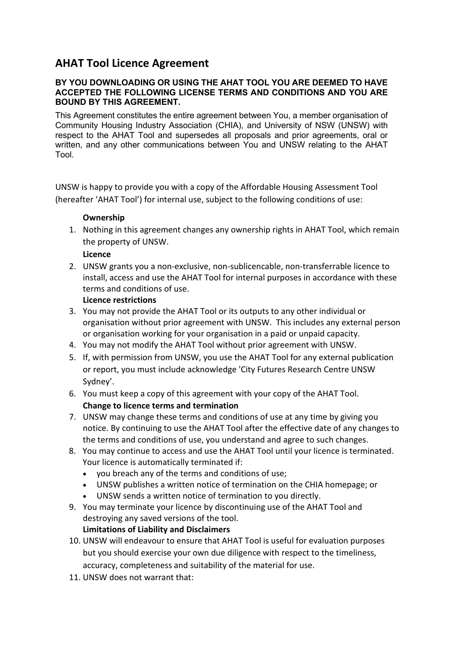# **AHAT Tool Licence Agreement**

#### **BY YOU DOWNLOADING OR USING THE AHAT TOOL YOU ARE DEEMED TO HAVE ACCEPTED THE FOLLOWING LICENSE TERMS AND CONDITIONS AND YOU ARE BOUND BY THIS AGREEMENT.**

This Agreement constitutes the entire agreement between You, a member organisation of Community Housing Industry Association (CHIA), and University of NSW (UNSW) with respect to the AHAT Tool and supersedes all proposals and prior agreements, oral or written, and any other communications between You and UNSW relating to the AHAT Tool.

UNSW is happy to provide you with a copy of the Affordable Housing Assessment Tool (hereafter 'AHAT Tool') for internal use, subject to the following conditions of use:

## **Ownership**

1. Nothing in this agreement changes any ownership rights in AHAT Tool, which remain the property of UNSW.

### **Licence**

2. UNSW grants you a non-exclusive, non-sublicencable, non-transferrable licence to install, access and use the AHAT Tool for internal purposes in accordance with these terms and conditions of use.

### **Licence restrictions**

- 3. You may not provide the AHAT Tool or its outputs to any other individual or organisation without prior agreement with UNSW. This includes any external person or organisation working for your organisation in a paid or unpaid capacity.
- 4. You may not modify the AHAT Tool without prior agreement with UNSW.
- 5. If, with permission from UNSW, you use the AHAT Tool for any external publication or report, you must include acknowledge 'City Futures Research Centre UNSW Sydney'.
- 6. You must keep a copy of this agreement with your copy of the AHAT Tool. **Change to licence terms and termination**
- 7. UNSW may change these terms and conditions of use at any time by giving you notice. By continuing to use the AHAT Tool after the effective date of any changes to the terms and conditions of use, you understand and agree to such changes.
- 8. You may continue to access and use the AHAT Tool until your licence is terminated. Your licence is automatically terminated if:
	- you breach any of the terms and conditions of use;
	- UNSW publishes a written notice of termination on the CHIA homepage; or
	- UNSW sends a written notice of termination to you directly.
- 9. You may terminate your licence by discontinuing use of the AHAT Tool and destroying any saved versions of the tool.

## **Limitations of Liability and Disclaimers**

- 10. UNSW will endeavour to ensure that AHAT Tool is useful for evaluation purposes but you should exercise your own due diligence with respect to the timeliness, accuracy, completeness and suitability of the material for use.
- 11. UNSW does not warrant that: